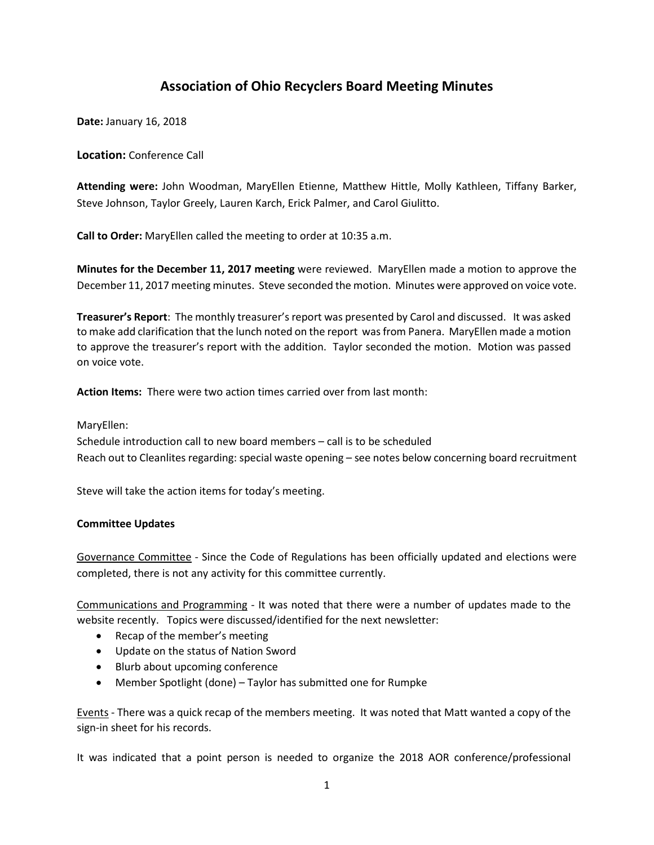## **Association of Ohio Recyclers Board Meeting Minutes**

**Date:** January 16, 2018

**Location:** Conference Call

**Attending were:** John Woodman, MaryEllen Etienne, Matthew Hittle, Molly Kathleen, Tiffany Barker, Steve Johnson, Taylor Greely, Lauren Karch, Erick Palmer, and Carol Giulitto.

**Call to Order:** MaryEllen called the meeting to order at 10:35 a.m.

**Minutes for the December 11, 2017 meeting** were reviewed. MaryEllen made a motion to approve the December 11, 2017 meeting minutes. Steve seconded the motion. Minutes were approved on voice vote.

**Treasurer's Report**: The monthly treasurer's report was presented by Carol and discussed. It was asked to make add clarification that the lunch noted on the report was from Panera. MaryEllen made a motion to approve the treasurer's report with the addition. Taylor seconded the motion. Motion was passed on voice vote.

**Action Items:** There were two action times carried over from last month:

MaryEllen:

Schedule introduction call to new board members – call is to be scheduled Reach out to Cleanlites regarding: special waste opening – see notes below concerning board recruitment

Steve will take the action items for today's meeting.

## **Committee Updates**

Governance Committee - Since the Code of Regulations has been officially updated and elections were completed, there is not any activity for this committee currently.

Communications and Programming - It was noted that there were a number of updates made to the website recently. Topics were discussed/identified for the next newsletter:

- Recap of the member's meeting
- Update on the status of Nation Sword
- Blurb about upcoming conference
- Member Spotlight (done) Taylor has submitted one for Rumpke

Events - There was a quick recap of the members meeting. It was noted that Matt wanted a copy of the sign-in sheet for his records.

It was indicated that a point person is needed to organize the 2018 AOR conference/professional